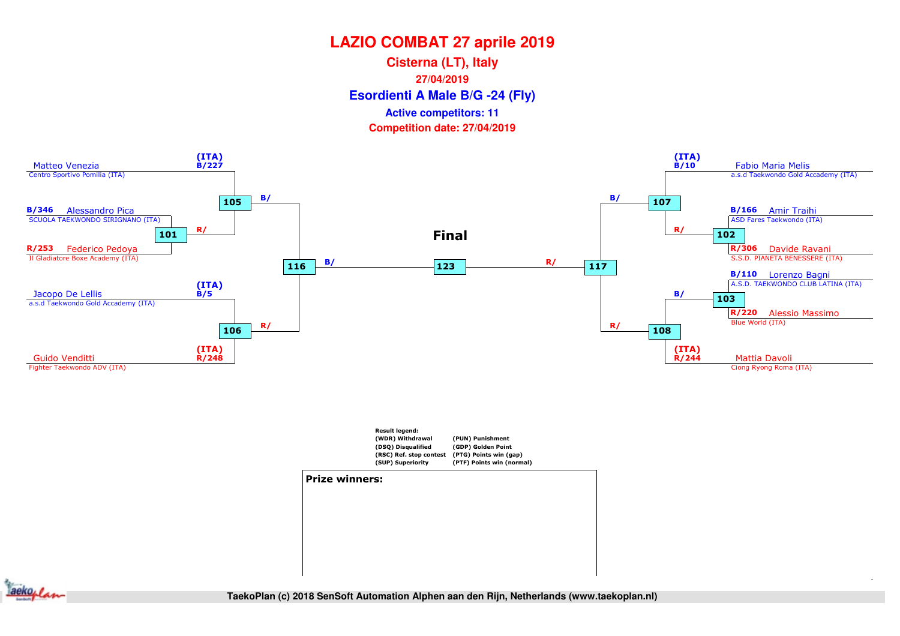**Esordienti A Male B/G -24 (Fly) Cisterna (LT), Italy27/04/2019Competition date: 27/04/2019 Active competitors: 11**







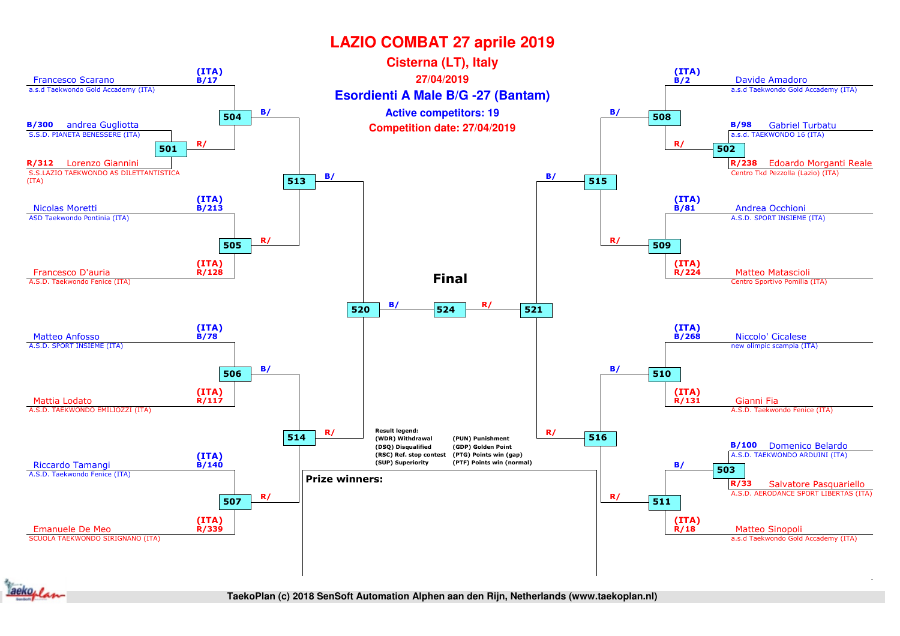

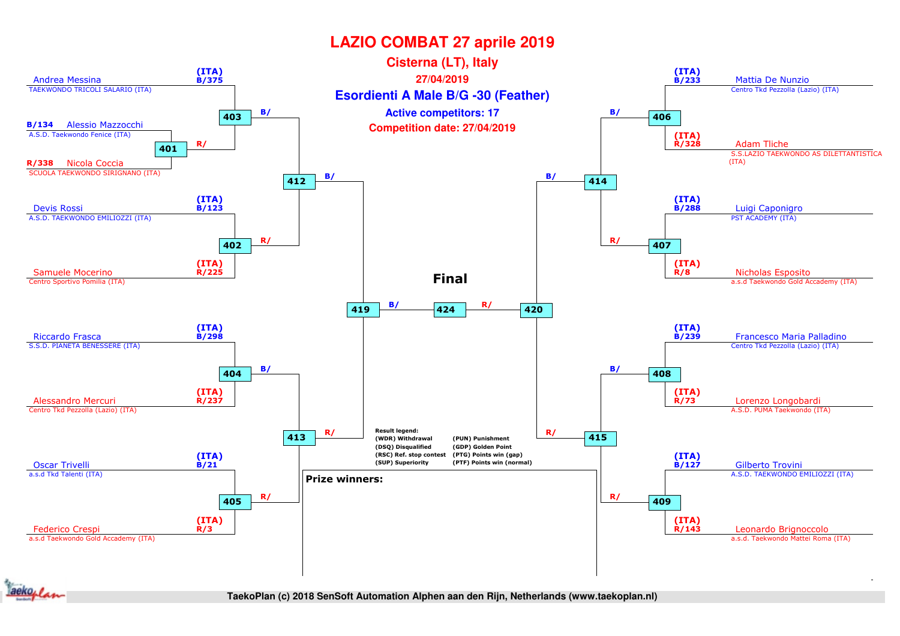

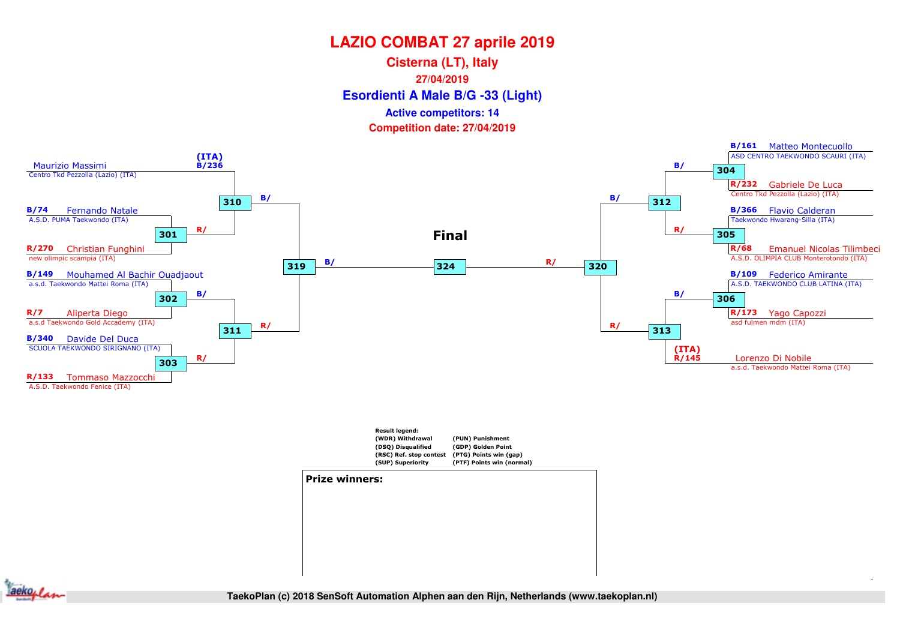**Esordienti A Male B/G -33 (Light) Cisterna (LT), Italy27/04/2019Active competitors: 14**

**Competition date: 27/04/2019**





#### Prize winners:



TaekoPlan (c) 2018 SenSoft Automation Alphen aan den Rijn, Netherlands (www.taekoplan.nl)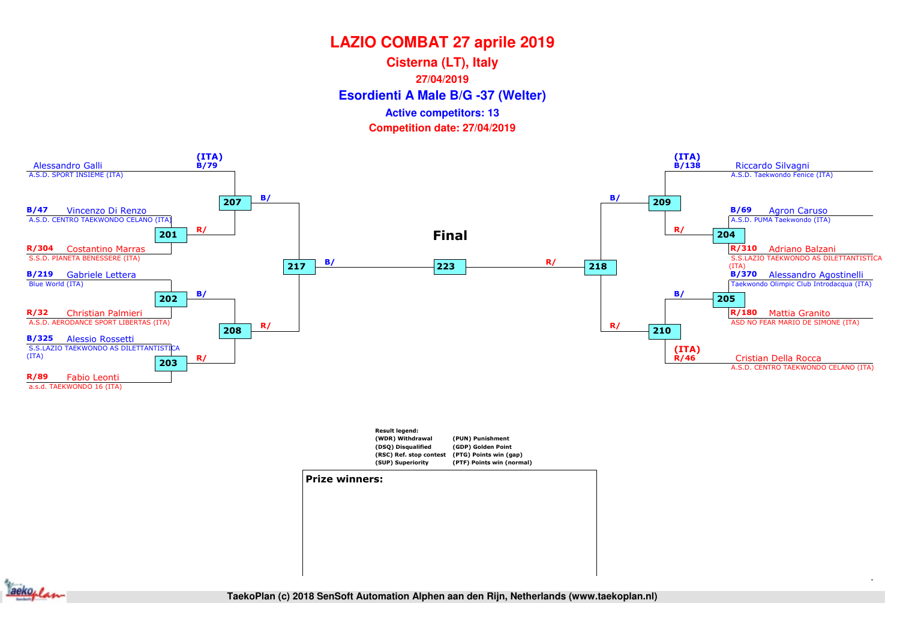**Esordienti A Male B/G -37 (Welter) Cisterna (LT), Italy27/04/2019Competition date: 27/04/2019 Active competitors: 13**





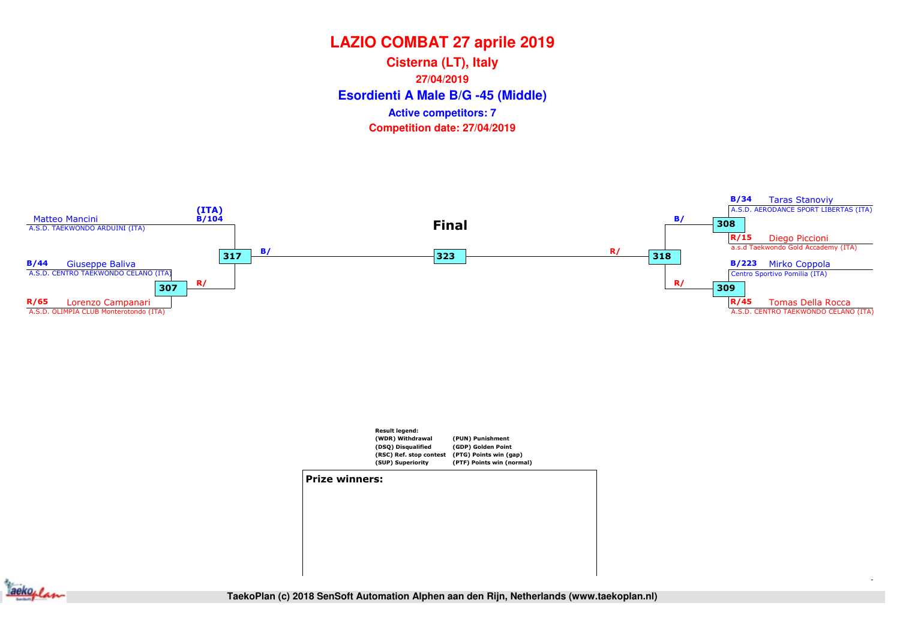**Esordienti A Male B/G -45 (Middle) Cisterna (LT), Italy27/04/2019Competition date: 27/04/2019 Active competitors: 7**





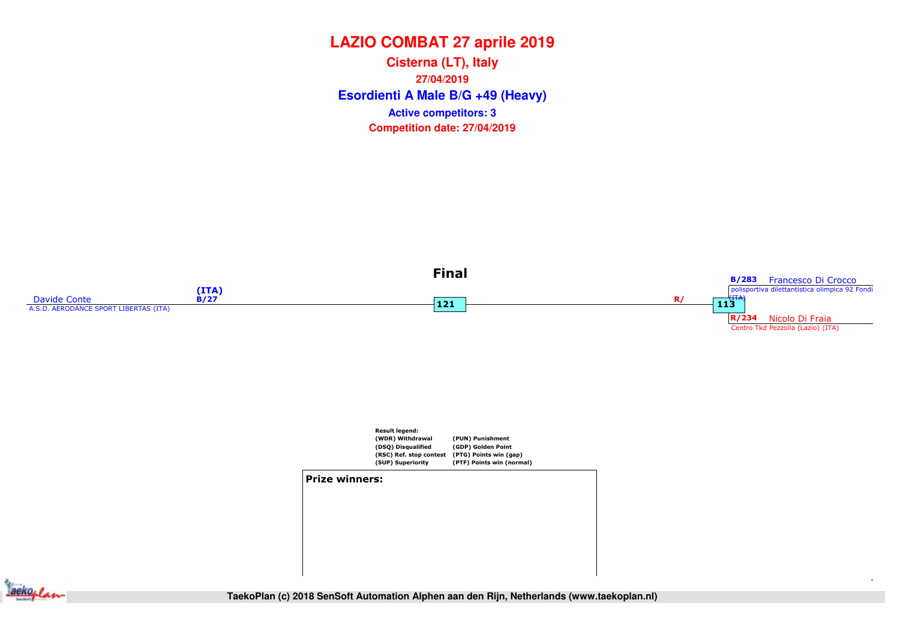**Esordienti A Male B/G +49 (Heavy) Cisterna (LT), Italy27/04/2019Competition date: 27/04/2019 Active competitors: 3**







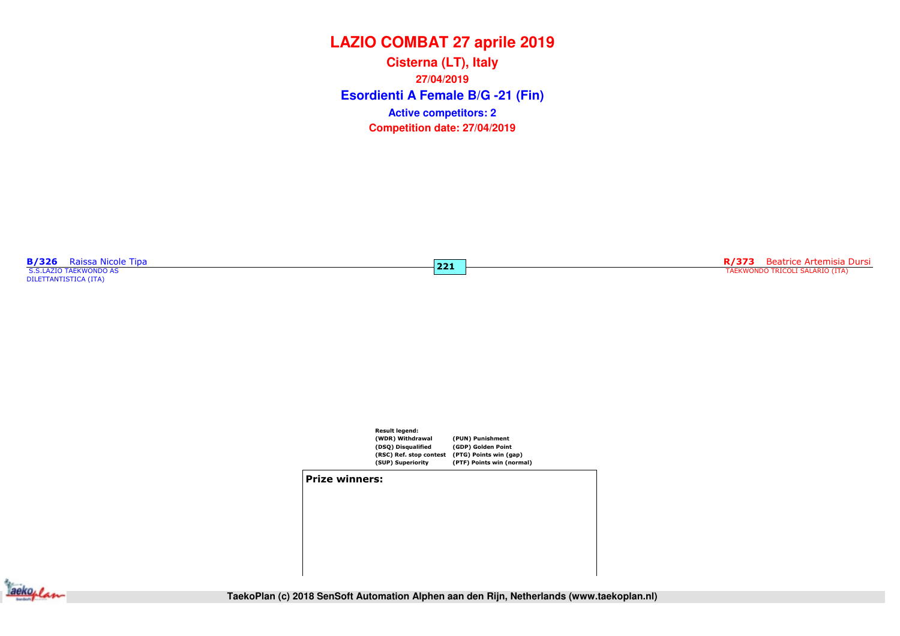**Esordienti A Female B/G -21 (Fin) Cisterna (LT), Italy27/04/2019Competition date: 27/04/2019 Active competitors: 2**

**B/326** Raissa Nicole Tipa<br>S.S.LAZIO TAEKWONDO AS

DILETTANTISTICA (ITA)

 $\overline{221}$ 

R/373 Beatrice Artemisia Dursi TAEKWONDO TRICOLI SALARIO (ITA)



#### Prize winners:



**TaekoPlan (c) 2018 SenSoft Automation Alphen aan den Rijn, Netherlands (www.taekoplan.nl)**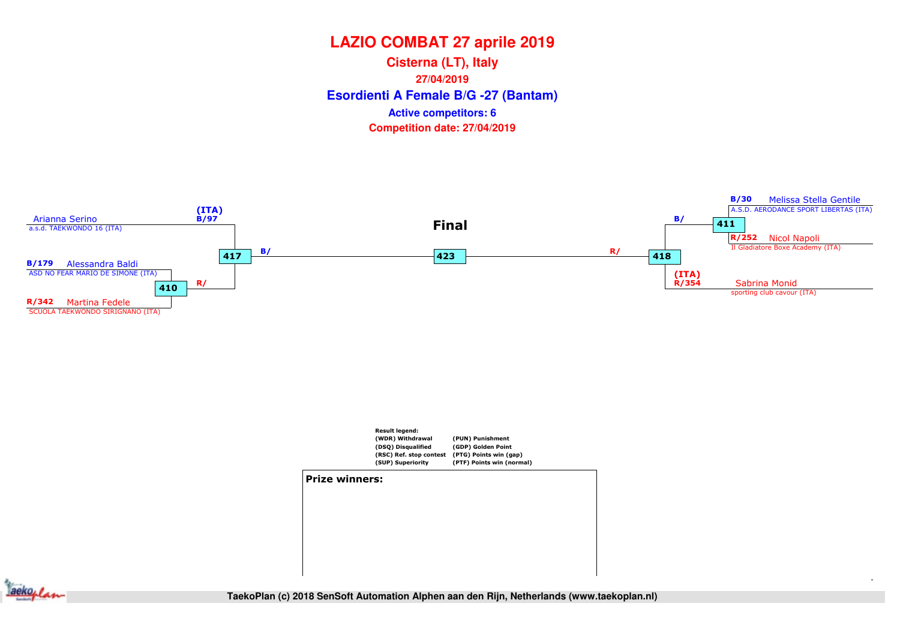**Esordienti A Female B/G -27 (Bantam) Cisterna (LT), Italy27/04/2019Competition date: 27/04/2019 Active competitors: 6**





**Jackoplan**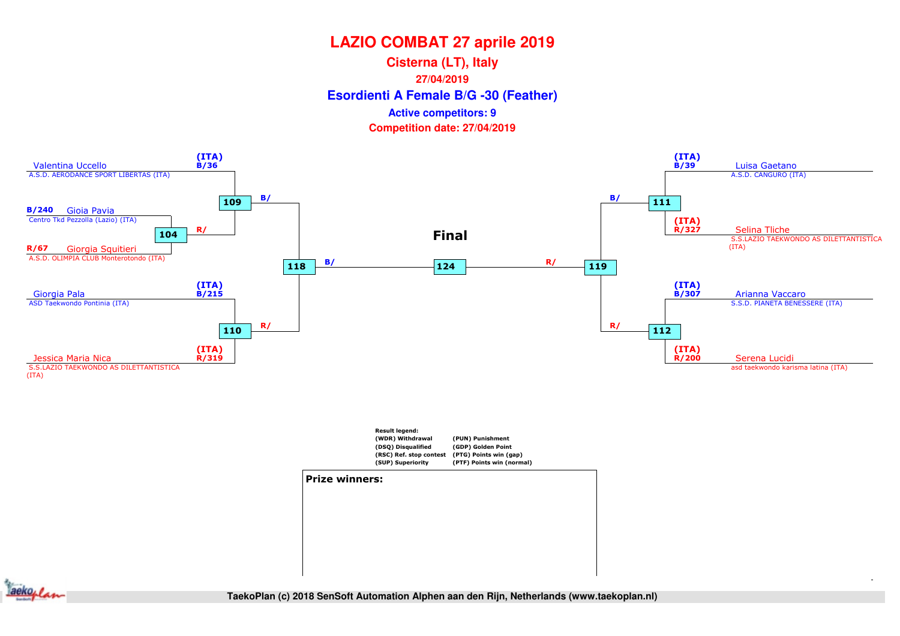#### **Esordienti A Female B/G -30 (Feather) Cisterna (LT), Italy27/04/2019Competition date: 27/04/2019 Active competitors: 9**





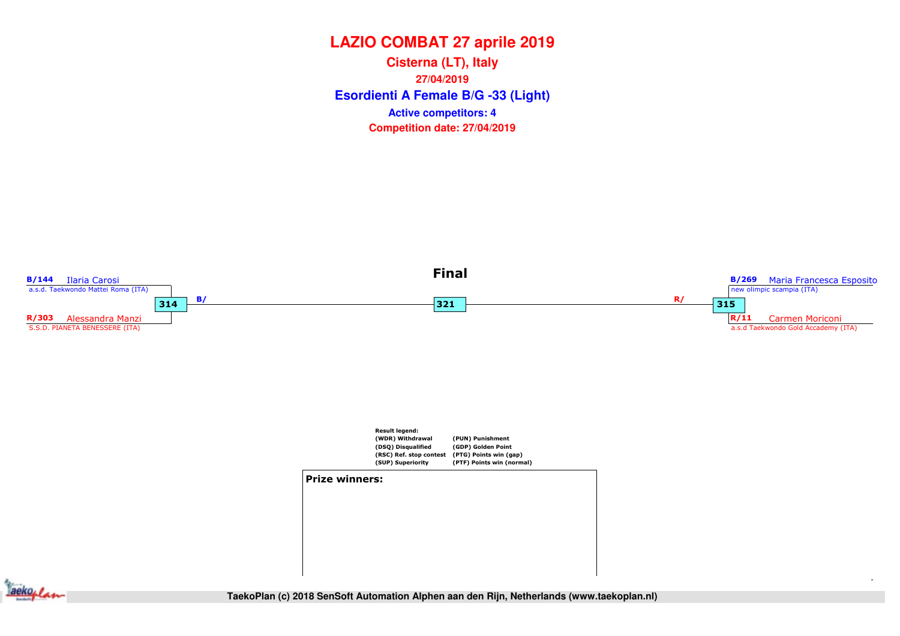**Esordienti A Female B/G -33 (Light) Cisterna (LT), Italy27/04/2019Competition date: 27/04/2019 Active competitors: 4**



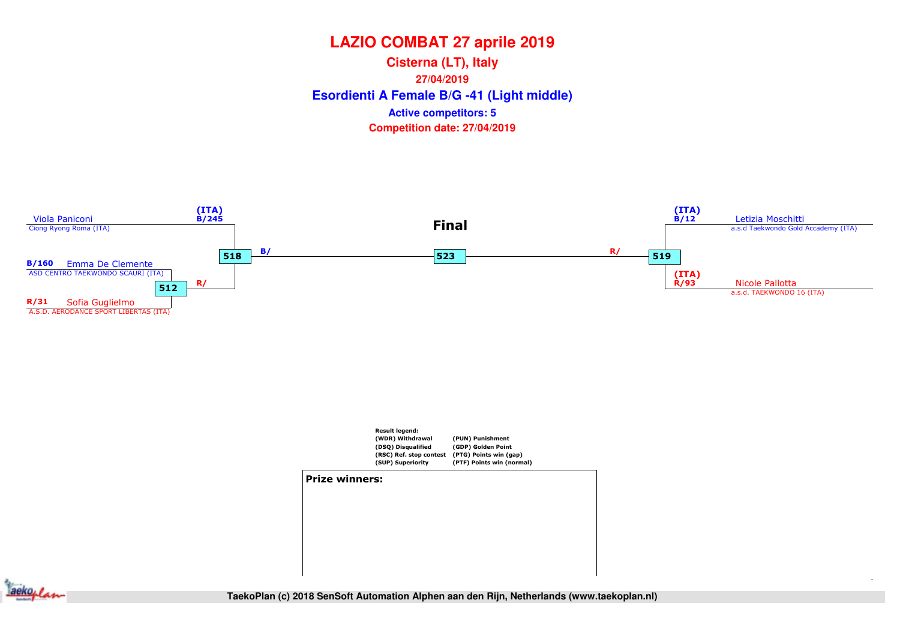**Esordienti A Female B/G -41 (Light middle) Cisterna (LT), Italy27/04/2019Competition date: 27/04/2019 Active competitors: 5**





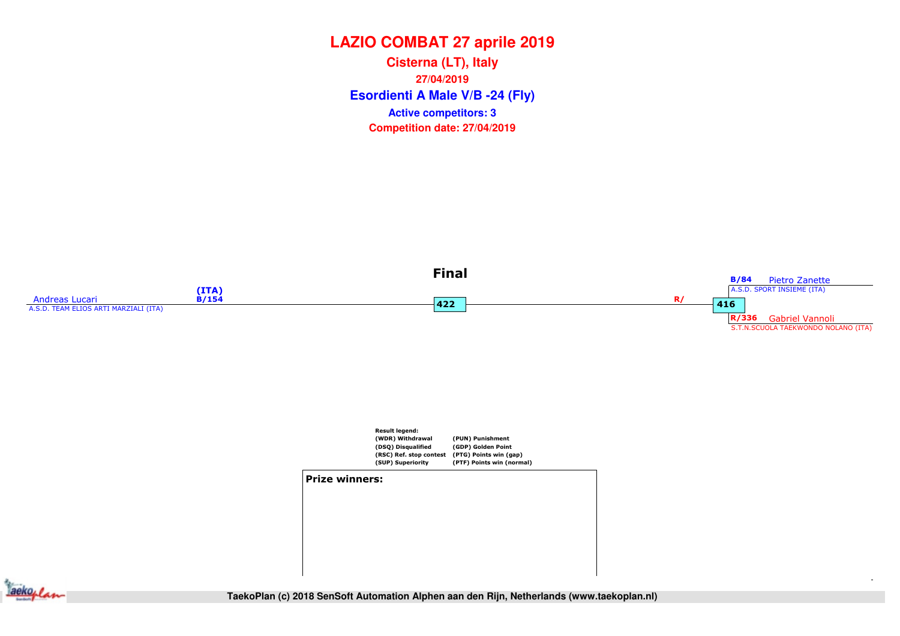**Esordienti A Male V/B -24 (Fly) Cisterna (LT), Italy27/04/2019Competition date: 27/04/2019 Active competitors: 3**





#### Prize winners:



**SF (R4)** Final **TaekoPlan (c) 2018 SenSoft Automation Alphen aan den Rijn, Netherlands (www.taekoplan.nl)**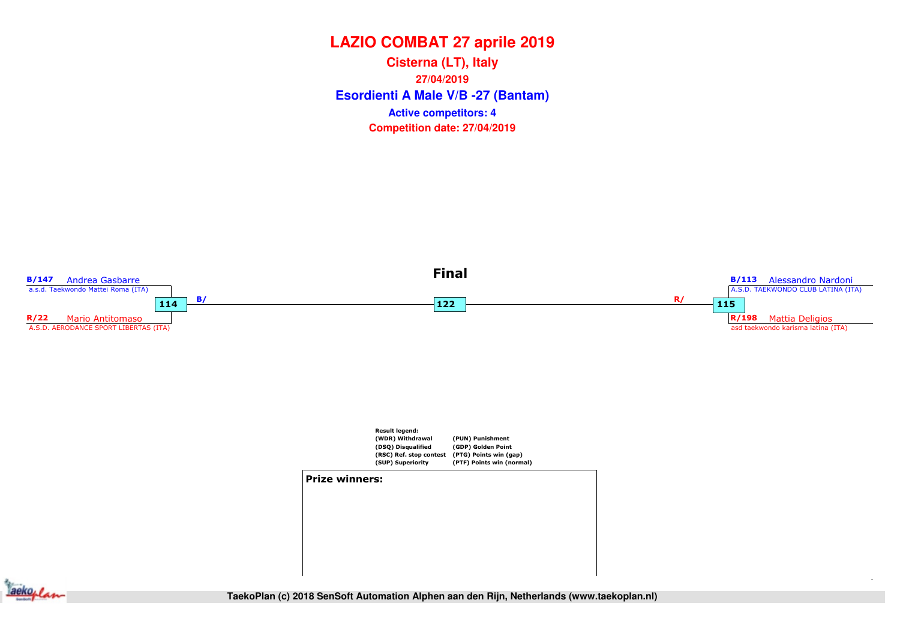**Esordienti A Male V/B -27 (Bantam) Cisterna (LT), Italy27/04/2019Competition date: 27/04/2019 Active competitors: 4**



**Sackoplan**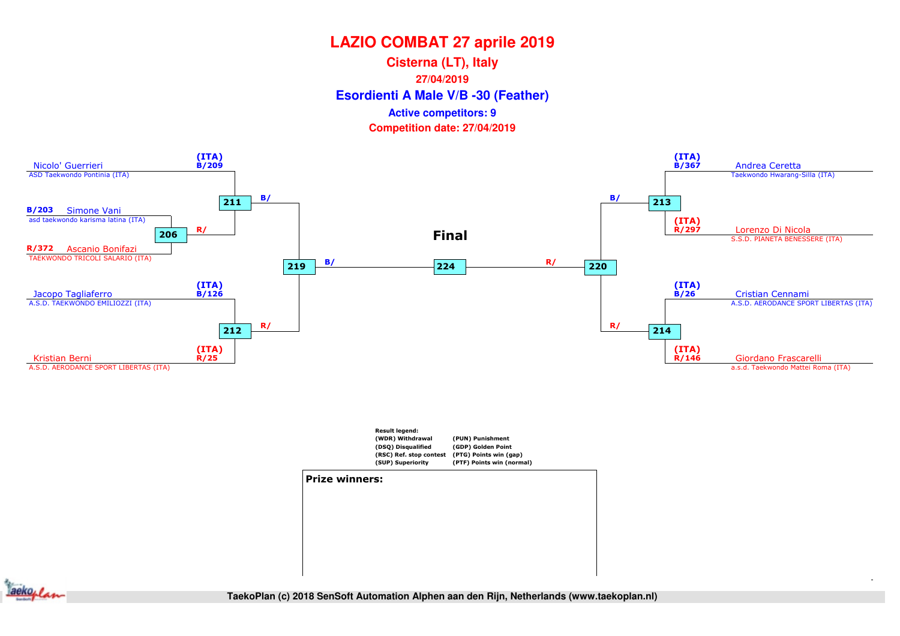**Esordienti A Male V/B -30 (Feather) Cisterna (LT), Italy27/04/2019Competition date: 27/04/2019 Active competitors: 9**







TaekoPlan (c) 2018 SenSoft Automation Alphen aan den Rijn, Netherlands (www.taekoplan.nl)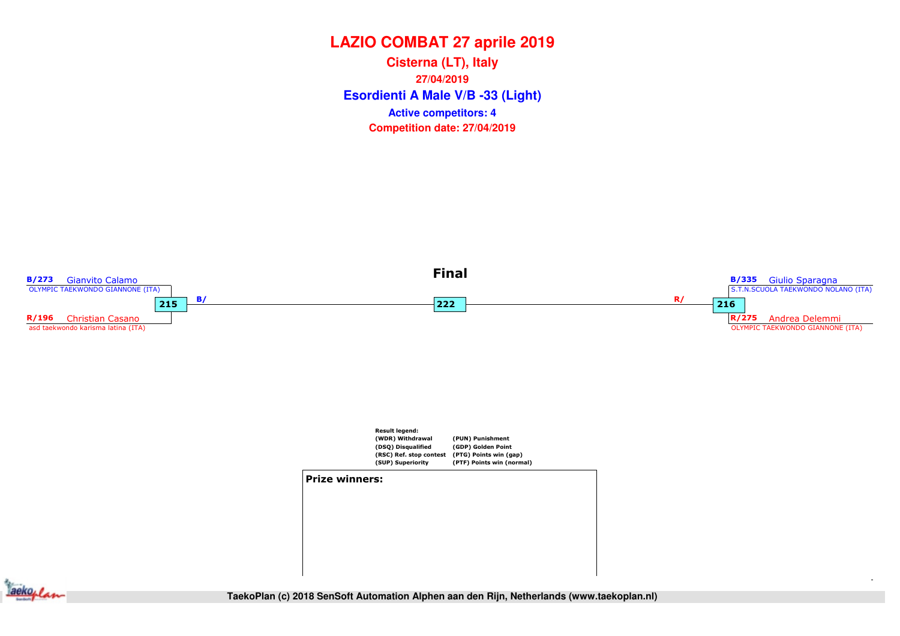**Esordienti A Male V/B -33 (Light) Cisterna (LT), Italy27/04/2019Competition date: 27/04/2019 Active competitors: 4**



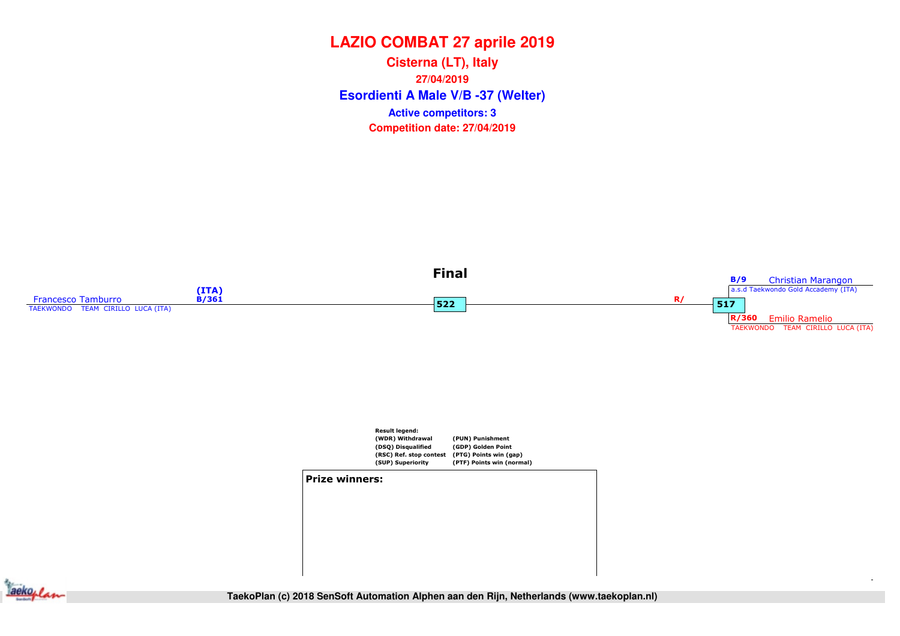**Esordienti A Male V/B -37 (Welter) Cisterna (LT), Italy27/04/2019Competition date: 27/04/2019 Active competitors: 3**





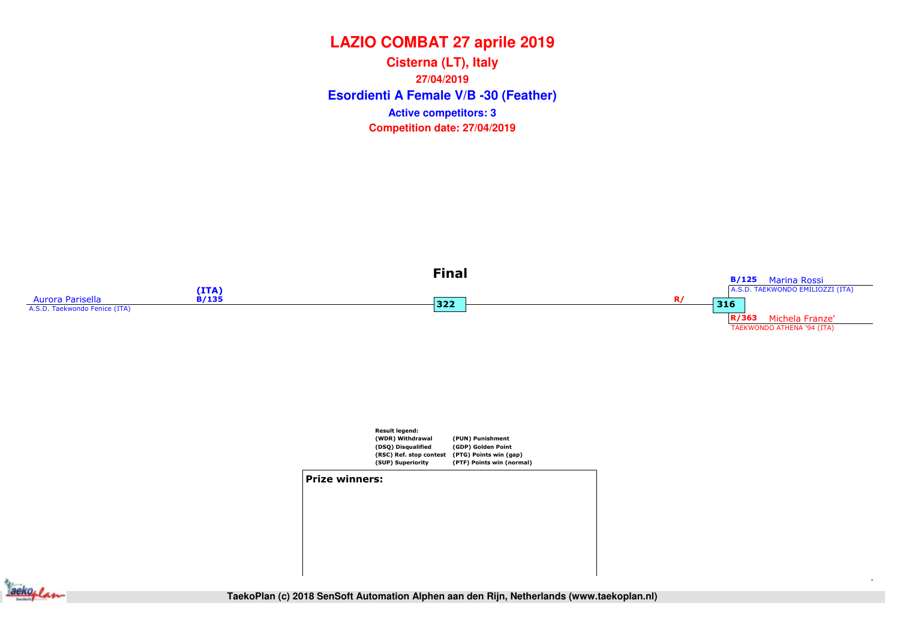**Esordienti A Female V/B -30 (Feather) Cisterna (LT), Italy27/04/2019Competition date: 27/04/2019 Active competitors: 3**





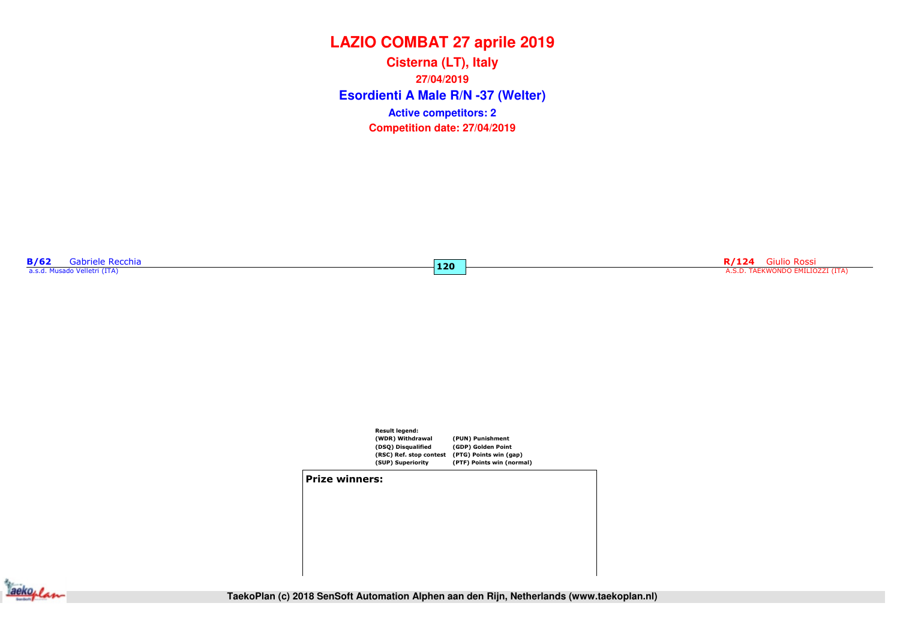**Esordienti A Male R/N -37 (Welter) Cisterna (LT), Italy27/04/2019Competition date: 27/04/2019 Active competitors: 2**

 $120$ 

**B/62** Gabriele Recchia<br>a.s.d. Musado Velletri (ITA)

ecchia **R/124** Giulio Rossi <mark>120 de a constantino de la constantino de la constantino de la constantino de la constantino de la constantino de la constantino de la constantino de la constantino de la constantino de la cons</mark>